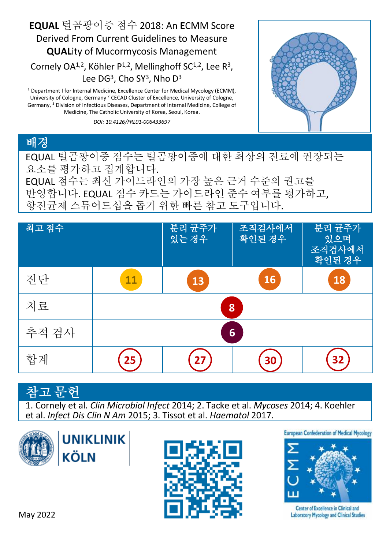

<sup>1</sup> Department I for Internal Medicine, Excellence Center for Medical Mycology (ECMM), University of Cologne, Germany <sup>2</sup> CECAD Cluster of Excellence, University of Cologne, Germany, <sup>3</sup> Division of Infectious Diseases, Department of Internal Medicine, College of Medicine, The Catholic University of Korea, Seoul, Korea.

*DOI: 10.4126/FRL01-006433697*



## 배경

EQUAL 털곰팡이증 점수는 털곰팡이증에 대한 최상의 진료에 권장되는 요소를 평가하고 집계합니다.

EQUAL 점수는 최신 가이드라인의 가장 높은 근거 수준의 권고를 반영합니다. EQUAL 점수 카드는 가이드라인 준수 여부를 평가하고, 항진균제 스튜어드십을 돕기 위한 빠른 참고 도구입니다.

| 최고 점수 |    | 분리 균주가<br>있는경우 | 조직검사에서<br>확인된 경우 | 분리 균주가<br>있으며<br>조직검사에서<br>확인된 경우 |
|-------|----|----------------|------------------|-----------------------------------|
| 진단    | 11 | 13             | 16               | 18                                |
| 치료    | 8  |                |                  |                                   |
| 추적 검사 | 6  |                |                  |                                   |
| 합계    | 25 | 27             | 30               | 32                                |

## 고 무허

1. Cornely et al. *Clin Microbiol Infect* 2014; 2. Tacke et al. *Mycoses* 2014; 4. Koehler et al. *Infect Dis Clin N Am* 2015; 3. Tissot et al. *Haematol* 2017.







**European Confederation of Medical Mycology** 



Center of Excellence in Clinical and **Laboratory Mycology and Clinical Studies**